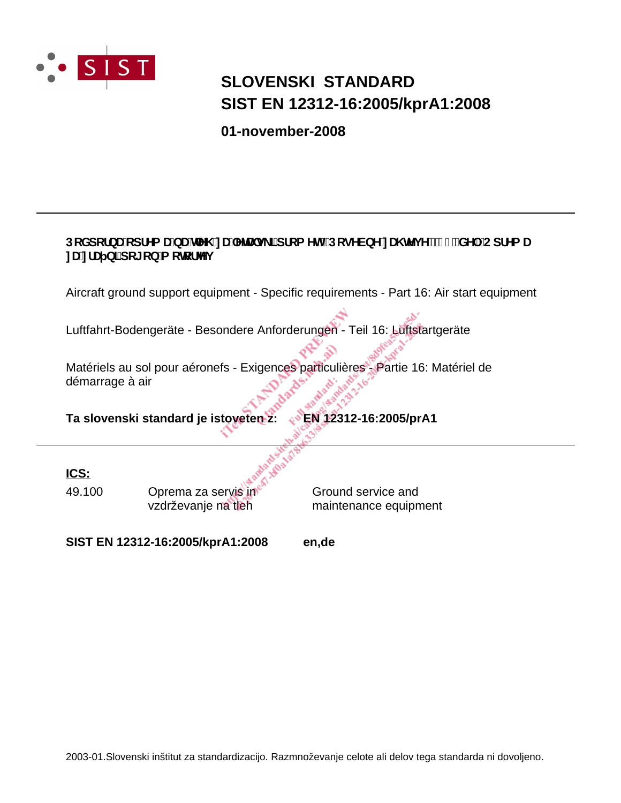

# **SIST EN 12312-16:2005/kprA1:2008 SLOVENSKI STANDARD**

**01-november-2008**

# DcXdcfbUcdfYa UbUhY\ 'nU`YHJg\_]'dfca Yh!'DcgYVbY'nU hYj Y'!'% "XY.'CdfYa U nUnfU b]dc[ cb'a chcf **Y**j

Aircraft ground support equipment - Specific requirements - Part 16: Air start equipment

Luftfahrt-Bodenge[räte - Besondere Anforderungen - Teil 16: Luftstartgerä](���u\�i�kCuN�6U-�(��zܤt���n������pPf�@���PZ���{��u�	\�9�_,����er���3$�l,o��.�q�G��,UP`�,/z��P�QPJ�P�)te

Matériels au sol pour aéronefs - Exigences particulières - Partie 16: Matériel de démarrage à air

**Ta slovenski standard je istoveten z: EN 12312-16:2005/prA1**

**ICS:**

49.100 Oprema za servis in vzdrževanje na tleh

Ground service and maintenance equipment

**SIST EN 12312-16:2005/kprA1:2008 en,de**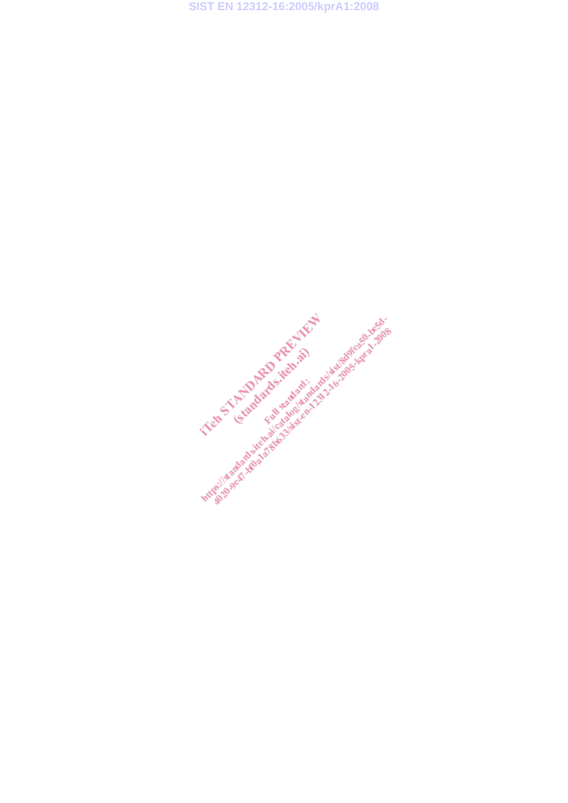**SIST EN 12312-16:2005/kprA1:2008**

International development of the term of the straightening of the term of the straightening of the term of the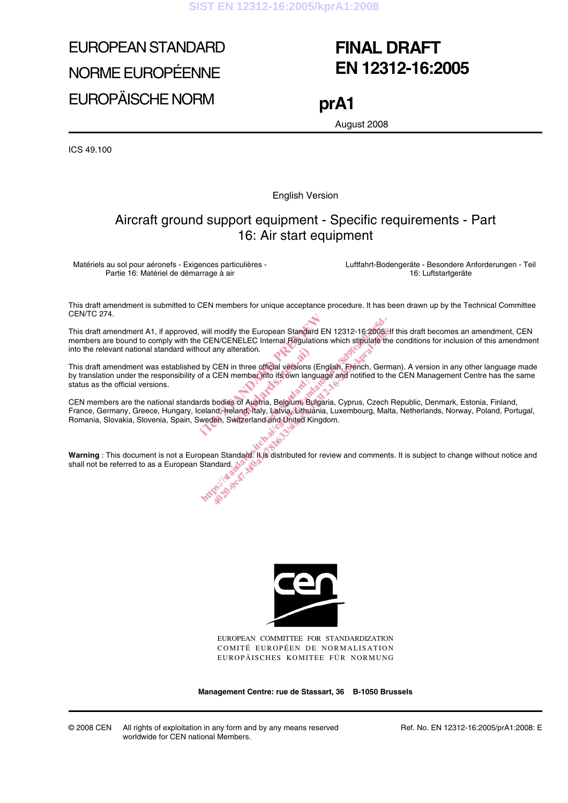# EUROPEAN STANDARD NORME EUROPÉENNE EUROPÄISCHE NORM

# **FINAL DRAFT EN 12312-16:2005**

**prA1**

August 2008

ICS 49.100

English Version

# Aircraft ground support equipment - Specific requirements - Part 16: Air start equipment

Matériels au sol pour aéronefs - Exigences particulières - Partie 16: Matériel de démarrage à air

Luftfahrt-Bodengeräte - Besondere Anforderungen - Teil 16: Luftstartgeräte

This draft amendment is submitted to CEN members for unique acceptance procedure. It has been drawn up by the Technical Committee CEN/TC 274.

This draft amendment [A1, if approved, will modify the European Standard EN 12312-16:2005. If this dra](X	�)-?M��"c_�a�HN�B7*�b�u
�U��u��j��1�;1F&ࣞ}����	�[{�T��>ഞ��k7�"�f5�	�12P��� ��@L
�mv��9���p��b�H>]�*�{W)ft becomes an amendment, CEN members are bound to comply with the CEN/CENELEC Internal Regulations which stipulate the conditions for inclusion of this amendment into the relevant national standard without any alteration.

This draft amendment was established by CEN in three official versions (English, French, German). A version in any other language made by translation under the responsibility of a CEN member into its own language and notified to the CEN Management Centre has the same status as the official versions.

CEN members are the national standards bodies of Austria, Belgium, Bulgaria, Cyprus, Czech Republic, Denmark, Estonia, Finland, France, Germany, Greece, Hungary, Iceland, Ireland, Italy, Latvia, Lithuania, Luxembourg, Malta, Netherlands, Norway, Poland, Portugal, Romania, Slovakia, Slovenia, Spain, Sweden, Switzerland and United Kingdom.

**Warning** : This document is not a European Standard. It is distributed for review and comments. It is subject to change without notice and shall not be referred to as a European Standard.



EUROPEAN COMMITTEE FOR STANDARDIZATION COMITÉ EUROPÉEN DE NORMALISATION EUROPÄISCHES KOMITEE FÜR NORMUNG

**Management Centre: rue de Stassart, 36 B-1050 Brussels**

© 2008 CEN All rights of exploitation in any form and by any means reserved worldwide for CEN national Members.

Ref. No. EN 12312-16:2005/prA1:2008: E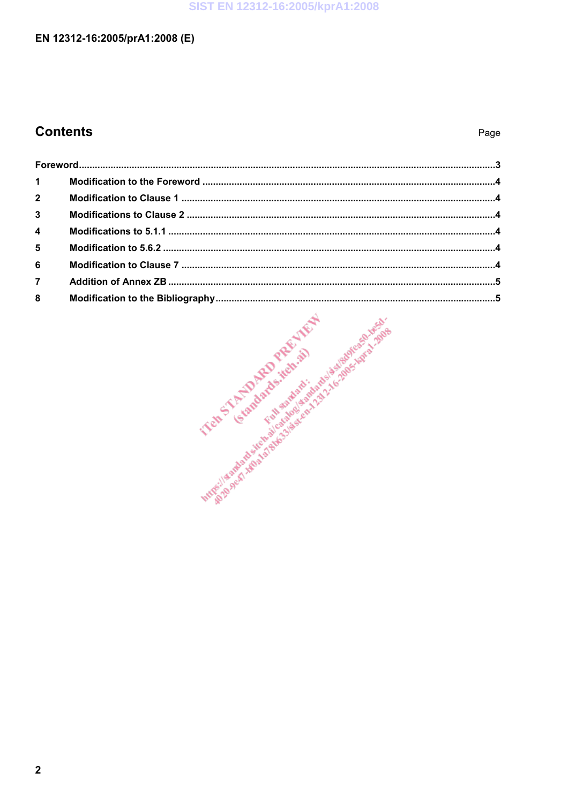#### SIST EN 12312-16:2005/kprA1:2008

### EN 12312-16:2005/prA1:2008 (E)

# **Contents**

Page

| $1 \quad \blacksquare$ |  |
|------------------------|--|
| $\overline{2}$         |  |
| $3^{\circ}$            |  |
| $\overline{4}$         |  |
| $5\overline{)}$        |  |
| $6\phantom{a}$         |  |
| $\overline{7}$         |  |
| 8                      |  |

International development of the state of the state of the state of the state of the state of the state of the state of the state of the state of the state of the state of the state of the state of the state of the state o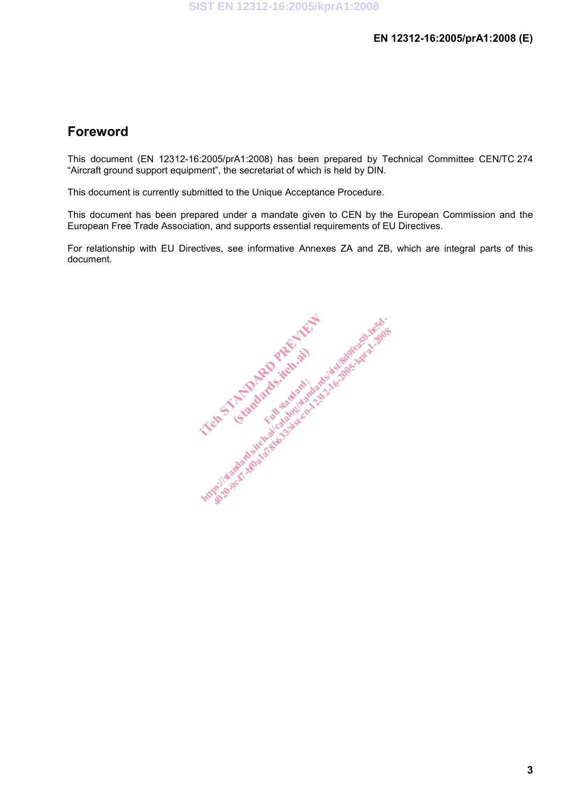# **Foreword**

This document (EN 12312-16:2005/prA1:2008) has been prepared by Technical Committee CEN/TC 274 "Aircraft ground support equipment", the secretariat of which is held by DIN.

This document is currently submitted to the Unique Acceptance Procedure.

This document has been prepared under a mandate given to CEN by the European Commission and the European Free Trade Association, and supports essential requirements of EU Directives.

document.

For relationship with EU Directives, see informative Annexes ZA and ZB, which are integral parts of this document.<br>document.<br>The property of the contract of the contract of the contract of the contract of the contract of t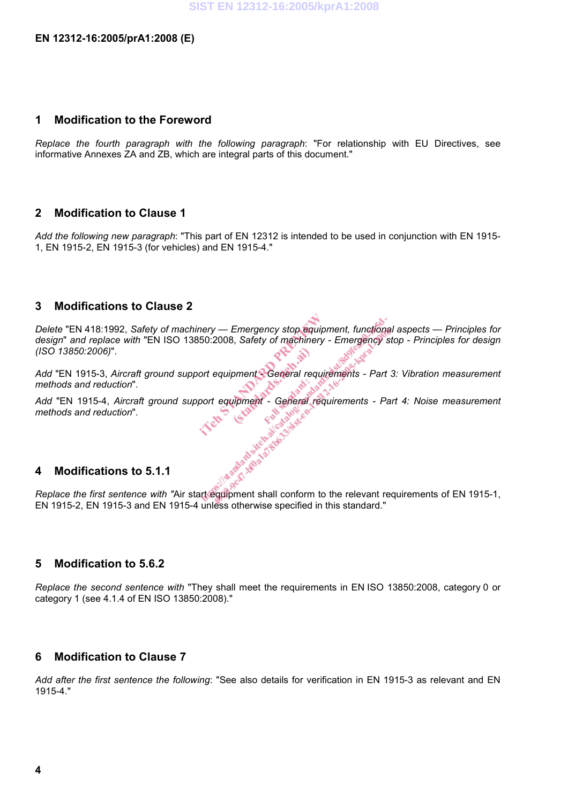#### **EN 12312-16:2005/prA1:2008 (E)**

#### **1 Modification to the Foreword**

*Replace the fourth paragraph with the following paragraph*: "For relationship with EU Directives, see informative Annexes ZA and ZB, which are integral parts of this document."

#### **2 Modification to Clause 1**

*Add the following new paragraph*: "This part of EN 12312 is intended to be used in conjunction with EN 1915- 1, EN 1915-2, EN 1915-3 (for vehicles) and EN 1915-4."

#### **3 Modifications to Clause 2**

*Delete* "EN 418:1992, *Saf[ety of machinery — Emergency stop equipment, functional aspec](J� $����w��$��}@V��}��<�Y���0X���ٴ%��7�m�B�+ʝt�������8�;˫��ye��~?�5�;_ ��o��Ҡg�f���.���%-U��S�	#��9@�!��)ts — Principles for design*" *and replace with* "EN ISO 13850:2008, *Safety of machinery - Emergency stop - Principles for design (ISO 13850:2006)*".

*Add* "EN 1915-3, *Aircraft ground support equipment - General requirements - Part 3: Vibration measurement methods and reduction*".

*Add* "EN 1915-4, *Aircraft ground support equipment - General requirements - Part 4: Noise measurement*<br>methods and reduction".<br>**4** Modifications to 5.1.1 *methods and reduction*". ىبىي

#### **4 Modifications to 5.1.1**

*Replace the first sentence with "Air start equipment shall conform to the relevant requirements of EN 1915-1,*<br>Replace the first sentence with "Air start equipment shall conform to the relevant requirements of EN 1915-1, EN 1915-2, EN 1915-3 and EN 1915-4 unless otherwise specified in this standard."

#### **5 Modification to 5.6.2**

*Replace the second sentence with* "They shall meet the requirements in EN ISO 13850:2008, category 0 or category 1 (see 4.1.4 of EN ISO 13850:2008)."

#### **6 Modification to Clause 7**

*Add after the first sentence the following*: "See also details for verification in EN 1915-3 as relevant and EN 1915-4."